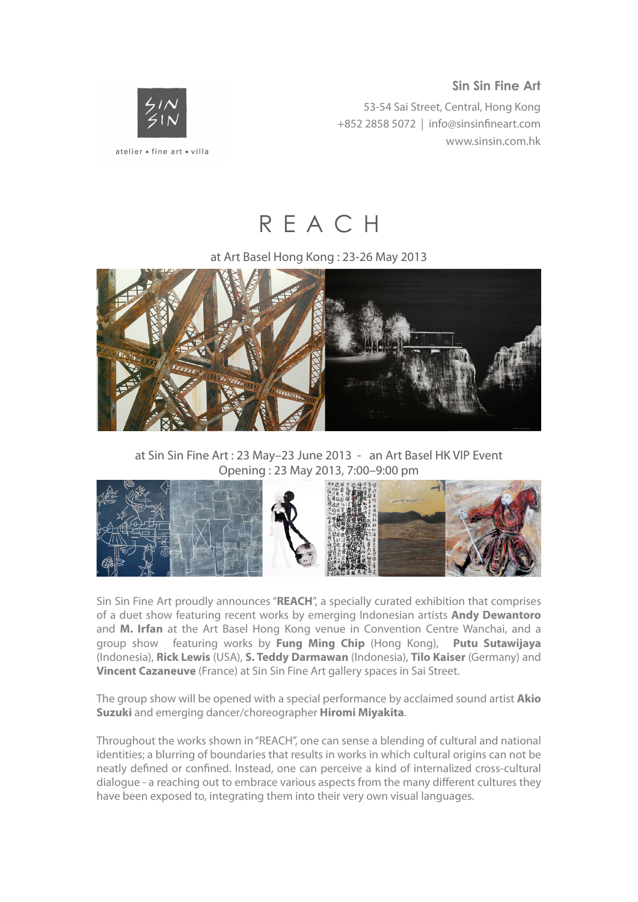## **Sin Sin Fine Art**

53-54 Sai Street, Central, Hong Kong +852 2858 5072 | [info@sinsin](mailto:info@sinsinfineart.com)fineart.com www.sinsin.com.hk



R E A C H

at Art Basel Hong Kong : 23-26 May 2013



at Sin Sin Fine Art : 23 May–23 June 2013 - an Art Basel HK VIP Event Opening : 23 May 2013, 7:00–9:00 pm



Sin Sin Fine Art proudly announces "**REACH**", a specially curated exhibition that comprises of a duet show featuring recent works by emerging Indonesian artists **Andy Dewantoro** and **M. Irfan** at the Art Basel Hong Kong venue in Convention Centre Wanchai, and a group show featuring works by **Fung Ming Chip** (Hong Kong), **Putu Sutawijaya** (Indonesia), **Rick Lewis** (USA), **S. Teddy Darmawan** (Indonesia), **Tilo Kaiser** (Germany) and **Vincent Cazaneuve** (France) at Sin Sin Fine Art gallery spaces in Sai Street.

The group show will be opened with a special performance by acclaimed sound artist **Akio Suzuki** and emerging dancer/choreographer **Hiromi Miyakita**.

Throughout the works shown in "REACH", one can sense a blending of cultural and national identities; a blurring of boundaries that results in works in which cultural origins can not be neatly defined or confined. Instead, one can perceive a kind of internalized cross-cultural dialogue - a reaching out to embrace various aspects from the many different cultures they have been exposed to, integrating them into their very own visual languages.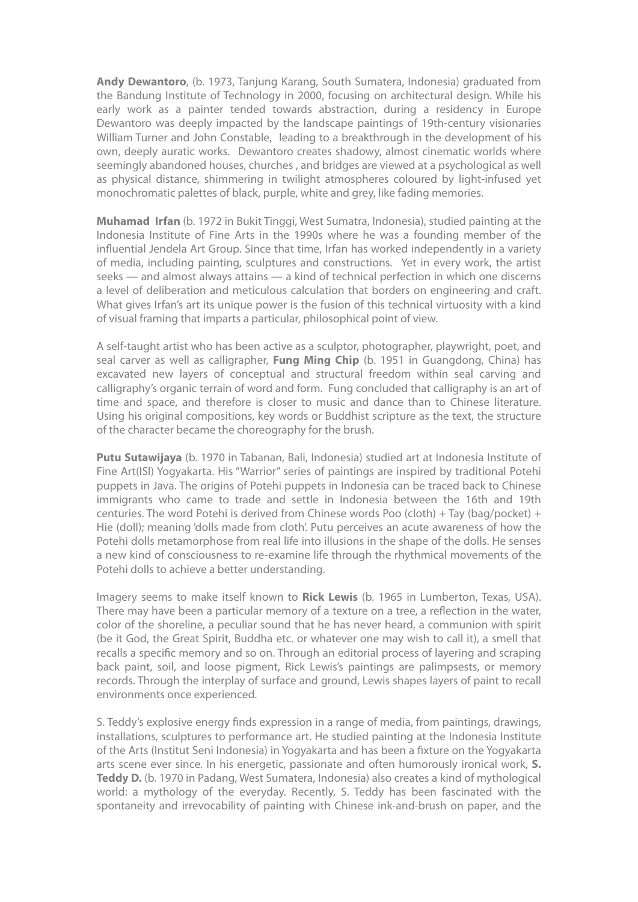**Andy Dewantoro**, (b. 1973, Tanjung Karang, South Sumatera, Indonesia) graduated from the Bandung Institute of Technology in 2000, focusing on architectural design. While his early work as a painter tended towards abstraction, during a residency in Europe Dewantoro was deeply impacted by the landscape paintings of 19th-century visionaries William Turner and John Constable, leading to a breakthrough in the development of his own, deeply auratic works. Dewantoro creates shadowy, almost cinematic worlds where seemingly abandoned houses, churches , and bridges are viewed at a psychological as well as physical distance, shimmering in twilight atmospheres coloured by light-infused yet monochromatic palettes of black, purple, white and grey, like fading memories.

**Muhamad Irfan** (b. 1972 in Bukit Tinggi, West Sumatra, Indonesia), studied painting at the Indonesia Institute of Fine Arts in the 1990s where he was a founding member of the influential Jendela Art Group. Since that time, Irfan has worked independently in a variety of media, including painting, sculptures and constructions. Yet in every work, the artist seeks — and almost always attains — a kind of technical perfection in which one discerns a level of deliberation and meticulous calculation that borders on engineering and craft. What gives Irfan's art its unique power is the fusion of this technical virtuosity with a kind of visual framing that imparts a particular, philosophical point of view.

A self-taught artist who has been active as a sculptor, photographer, playwright, poet, and seal carver as well as calligrapher, **Fung Ming Chip** (b. 1951 in Guangdong, China) has excavated new layers of conceptual and structural freedom within seal carving and calligraphy's organic terrain of word and form. Fung concluded that calligraphy is an art of time and space, and therefore is closer to music and dance than to Chinese literature. Using his original compositions, key words or Buddhist scripture as the text, the structure of the character became the choreography for the brush.

**Putu Sutawijaya** (b. 1970 in Tabanan, Bali, Indonesia) studied art at Indonesia Institute of Fine Art(ISI) Yogyakarta. His "Warrior" series of paintings are inspired by traditional Potehi puppets in Java. The origins of Potehi puppets in Indonesia can be traced back to Chinese immigrants who came to trade and settle in Indonesia between the 16th and 19th centuries. The word Potehi is derived from Chinese words Poo (cloth) + Tay (bag/pocket) + Hie (doll); meaning 'dolls made from cloth'. Putu perceives an acute awareness of how the Potehi dolls metamorphose from real life into illusions in the shape of the dolls. He senses a new kind of consciousness to re-examine life through the rhythmical movements of the Potehi dolls to achieve a better understanding.

Imagery seems to make itself known to **Rick Lewis** (b. 1965 in Lumberton, Texas, USA). There may have been a particular memory of a texture on a tree, a reflection in the water, color of the shoreline, a peculiar sound that he has never heard, a communion with spirit (be it God, the Great Spirit, Buddha etc. or whatever one may wish to call it), a smell that recalls a specific memory and so on. Through an editorial process of layering and scraping back paint, soil, and loose pigment, Rick Lewis's paintings are palimpsests, or memory records. Through the interplay of surface and ground, Lewis shapes layers of paint to recall environments once experienced.

S. Teddy's explosive energy finds expression in a range of media, from paintings, drawings, installations, sculptures to performance art. He studied painting at the Indonesia Institute of the Arts (Institut Seni Indonesia) in Yogyakarta and has been a fixture on the Yogyakarta arts scene ever since. In his energetic, passionate and often humorously ironical work, **S. Teddy D.** (b. 1970 in Padang, West Sumatera, Indonesia) also creates a kind of mythological world: a mythology of the everyday. Recently, S. Teddy has been fascinated with the spontaneity and irrevocability of painting with Chinese ink-and-brush on paper, and the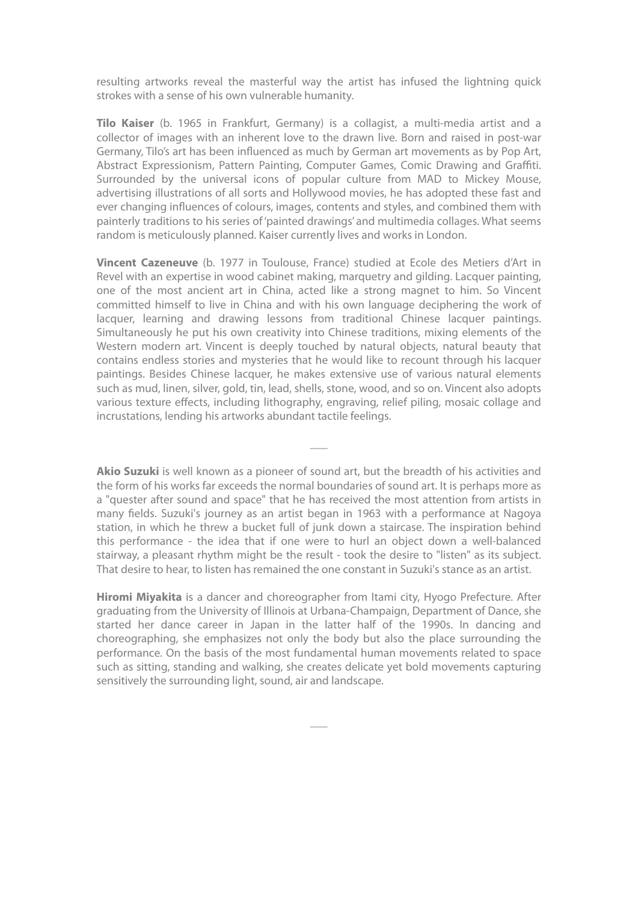resulting artworks reveal the masterful way the artist has infused the lightning quick strokes with a sense of his own vulnerable humanity.

**Tilo Kaiser** (b. 1965 in Frankfurt, Germany) is a collagist, a multi-media artist and a collector of images with an inherent love to the drawn live. Born and raised in post-war Germany, Tilo's art has been influenced as much by German art movements as by Pop Art, Abstract Expressionism, Pattern Painting, Computer Games, Comic Drawing and Graffiti. Surrounded by the universal icons of popular culture from MAD to Mickey Mouse, advertising illustrations of all sorts and Hollywood movies, he has adopted these fast and ever changing influences of colours, images, contents and styles, and combined them with painterly traditions to his series of 'painted drawings' and multimedia collages. What seems random is meticulously planned. Kaiser currently lives and works in London.

**Vincent Cazeneuve** (b. 1977 in Toulouse, France) studied at Ecole des Metiers d'Art in Revel with an expertise in wood cabinet making, marquetry and gilding. Lacquer painting, one of the most ancient art in China, acted like a strong magnet to him. So Vincent committed himself to live in China and with his own language deciphering the work of lacquer, learning and drawing lessons from traditional Chinese lacquer paintings. Simultaneously he put his own creativity into Chinese traditions, mixing elements of the Western modern art. Vincent is deeply touched by natural objects, natural beauty that contains endless stories and mysteries that he would like to recount through his lacquer paintings. Besides Chinese lacquer, he makes extensive use of various natural elements such as mud, linen, silver, gold, tin, lead, shells, stone, wood, and so on. Vincent also adopts various texture effects, including lithography, engraving, relief piling, mosaic collage and incrustations, lending his artworks abundant tactile feelings.

**Akio Suzuki** is well known as a pioneer of sound art, but the breadth of his activities and the form of his works far exceeds the normal boundaries of sound art. It is perhaps more as a "quester after sound and space" that he has received the most attention from artists in many fields. Suzuki's journey as an artist began in 1963 with a performance at Nagoya station, in which he threw a bucket full of junk down a staircase. The inspiration behind this performance - the idea that if one were to hurl an object down a well-balanced stairway, a pleasant rhythm might be the result - took the desire to "listen" as its subject. That desire to hear, to listen has remained the one constant in Suzuki's stance as an artist.

 $\overline{\phantom{a}}$ 

**Hiromi Miyakita** is a dancer and choreographer from Itami city, Hyogo Prefecture. After graduating from the University of Illinois at Urbana-Champaign, Department of Dance, she started her dance career in Japan in the latter half of the 1990s. In dancing and choreographing, she emphasizes not only the body but also the place surrounding the performance. On the basis of the most fundamental human movements related to space such as sitting, standing and walking, she creates delicate yet bold movements capturing sensitively the surrounding light, sound, air and landscape.

 $\overline{\phantom{a}}$